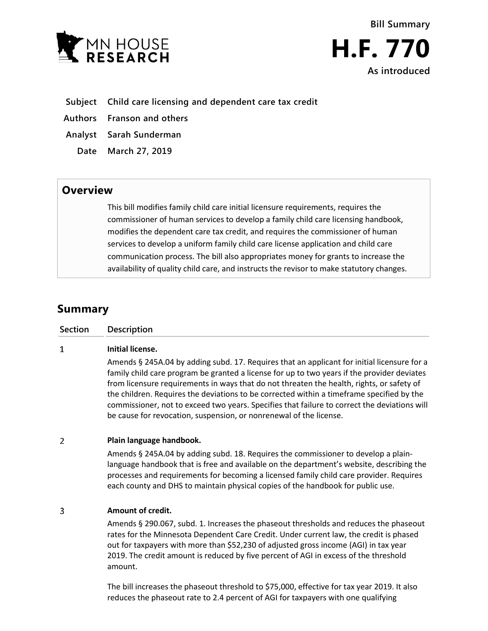



- **Subject Child care licensing and dependent care tax credit**
- **Authors Franson and others**
- **Analyst Sarah Sunderman**
- **Date March 27, 2019**

amount.

## **Overview**

This bill modifies family child care initial licensure requirements, requires the commissioner of human services to develop a family child care licensing handbook, modifies the dependent care tax credit, and requires the commissioner of human services to develop a uniform family child care license application and child care communication process. The bill also appropriates money for grants to increase the availability of quality child care, and instructs the revisor to make statutory changes.

# **Summary**

| <b>Section</b> | <b>Description</b>                                                                                                                                                                                                                                                                                                                                                                                                                                                                                                                                         |
|----------------|------------------------------------------------------------------------------------------------------------------------------------------------------------------------------------------------------------------------------------------------------------------------------------------------------------------------------------------------------------------------------------------------------------------------------------------------------------------------------------------------------------------------------------------------------------|
| 1              | Initial license.                                                                                                                                                                                                                                                                                                                                                                                                                                                                                                                                           |
|                | Amends § 245A.04 by adding subd. 17. Requires that an applicant for initial licensure for a<br>family child care program be granted a license for up to two years if the provider deviates<br>from licensure requirements in ways that do not threaten the health, rights, or safety of<br>the children. Requires the deviations to be corrected within a timeframe specified by the<br>commissioner, not to exceed two years. Specifies that failure to correct the deviations will<br>be cause for revocation, suspension, or nonrenewal of the license. |
| $\overline{2}$ | Plain language handbook.                                                                                                                                                                                                                                                                                                                                                                                                                                                                                                                                   |
|                | Amends § 245A.04 by adding subd. 18. Requires the commissioner to develop a plain-<br>language handbook that is free and available on the department's website, describing the<br>processes and requirements for becoming a licensed family child care provider. Requires<br>each county and DHS to maintain physical copies of the handbook for public use.                                                                                                                                                                                               |
| 3              | Amount of credit.                                                                                                                                                                                                                                                                                                                                                                                                                                                                                                                                          |
|                | Amends § 290.067, subd. 1. Increases the phaseout thresholds and reduces the phaseout<br>rates for the Minnesota Dependent Care Credit. Under current law, the credit is phased<br>out for taxpayers with more than \$52,230 of adjusted gross income (AGI) in tax year<br>2019. The credit amount is reduced by five percent of AGI in excess of the threshold                                                                                                                                                                                            |

The bill increases the phaseout threshold to \$75,000, effective for tax year 2019. It also reduces the phaseout rate to 2.4 percent of AGI for taxpayers with one qualifying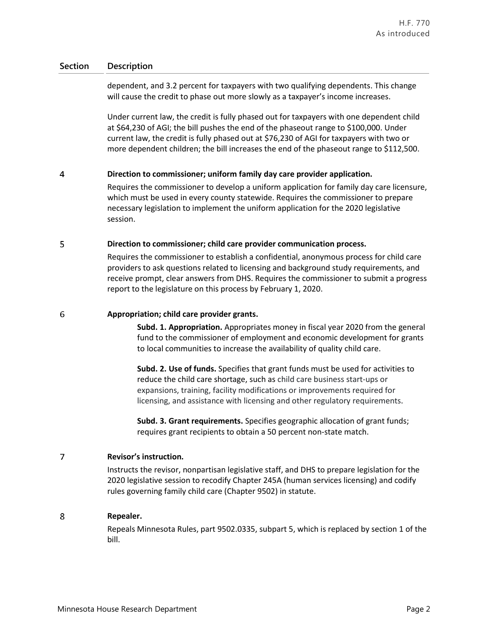### **Section Description**

dependent, and 3.2 percent for taxpayers with two qualifying dependents. This change will cause the credit to phase out more slowly as a taxpayer's income increases.

Under current law, the credit is fully phased out for taxpayers with one dependent child at \$64,230 of AGI; the bill pushes the end of the phaseout range to \$100,000. Under current law, the credit is fully phased out at \$76,230 of AGI for taxpayers with two or more dependent children; the bill increases the end of the phaseout range to \$112,500.

#### $\overline{4}$ **Direction to commissioner; uniform family day care provider application.**

Requires the commissioner to develop a uniform application for family day care licensure, which must be used in every county statewide. Requires the commissioner to prepare necessary legislation to implement the uniform application for the 2020 legislative session.

#### 5 **Direction to commissioner; child care provider communication process.**

Requires the commissioner to establish a confidential, anonymous process for child care providers to ask questions related to licensing and background study requirements, and receive prompt, clear answers from DHS. Requires the commissioner to submit a progress report to the legislature on this process by February 1, 2020.

#### 6 **Appropriation; child care provider grants.**

**Subd. 1. Appropriation.** Appropriates money in fiscal year 2020 from the general fund to the commissioner of employment and economic development for grants to local communities to increase the availability of quality child care.

**Subd. 2. Use of funds.** Specifies that grant funds must be used for activities to reduce the child care shortage, such as child care business start-ups or expansions, training, facility modifications or improvements required for licensing, and assistance with licensing and other regulatory requirements.

**Subd. 3. Grant requirements.** Specifies geographic allocation of grant funds; requires grant recipients to obtain a 50 percent non-state match.

#### $\overline{7}$ **Revisor's instruction.**

Instructs the revisor, nonpartisan legislative staff, and DHS to prepare legislation for the 2020 legislative session to recodify Chapter 245A (human services licensing) and codify rules governing family child care (Chapter 9502) in statute.

#### 8 **Repealer.**

Repeals Minnesota Rules, part 9502.0335, subpart 5, which is replaced by section 1 of the bill.